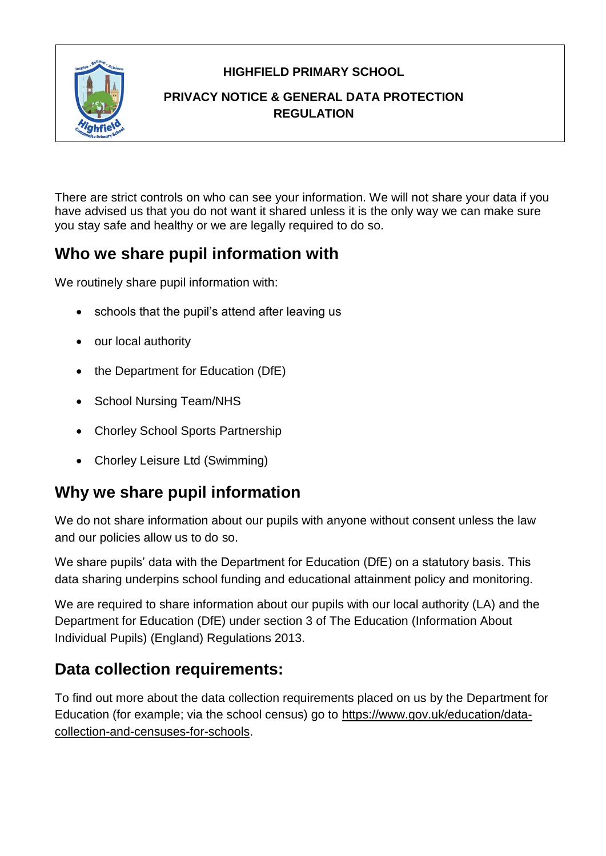**HIGHFIELD PRIMARY SCHOOL**



#### **PRIVACY NOTICE & GENERAL DATA PROTECTION REGULATION**

There are strict controls on who can see your information. We will not share your data if you have advised us that you do not want it shared unless it is the only way we can make sure you stay safe and healthy or we are legally required to do so.

### **Who we share pupil information with**

We routinely share pupil information with:

- schools that the pupil's attend after leaving us
- our local authority
- the Department for Education (DfE)
- School Nursing Team/NHS
- Chorley School Sports Partnership
- Chorley Leisure Ltd (Swimming)

## **Why we share pupil information**

We do not share information about our pupils with anyone without consent unless the law and our policies allow us to do so.

We share pupils' data with the Department for Education (DfE) on a statutory basis. This data sharing underpins school funding and educational attainment policy and monitoring.

We are required to share information about our pupils with our local authority (LA) and the Department for Education (DfE) under section 3 of The Education (Information About Individual Pupils) (England) Regulations 2013.

## **Data collection requirements:**

To find out more about the data collection requirements placed on us by the Department for Education (for example; via the school census) go to [https://www.gov.uk/education/data](https://www.gov.uk/education/data-collection-and-censuses-for-schools)[collection-and-censuses-for-schools.](https://www.gov.uk/education/data-collection-and-censuses-for-schools)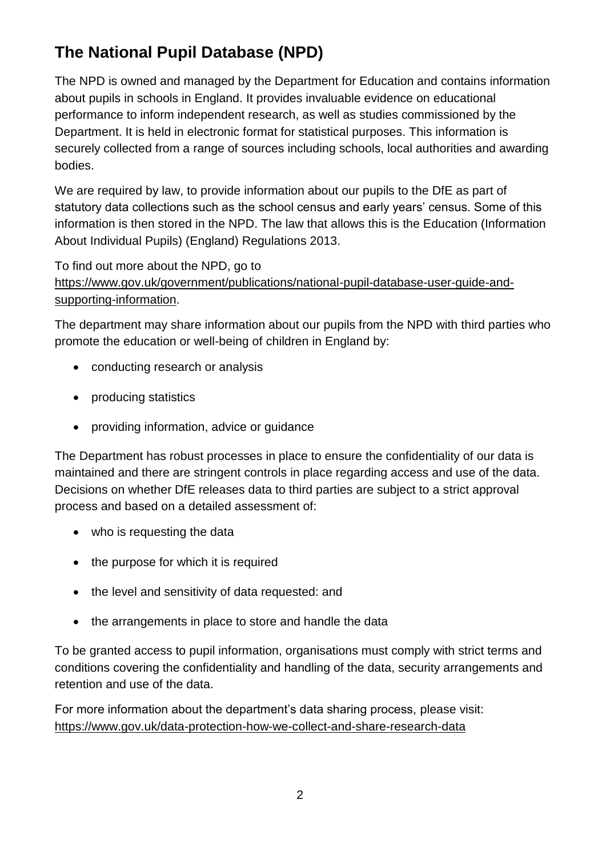# **The National Pupil Database (NPD)**

The NPD is owned and managed by the Department for Education and contains information about pupils in schools in England. It provides invaluable evidence on educational performance to inform independent research, as well as studies commissioned by the Department. It is held in electronic format for statistical purposes. This information is securely collected from a range of sources including schools, local authorities and awarding bodies.

We are required by law, to provide information about our pupils to the DfE as part of statutory data collections such as the school census and early years' census. Some of this information is then stored in the NPD. The law that allows this is the Education (Information About Individual Pupils) (England) Regulations 2013.

To find out more about the NPD, go to

[https://www.gov.uk/government/publications/national-pupil-database-user-guide-and](https://www.gov.uk/government/publications/national-pupil-database-user-guide-and-supporting-information)[supporting-information.](https://www.gov.uk/government/publications/national-pupil-database-user-guide-and-supporting-information)

The department may share information about our pupils from the NPD with third parties who promote the education or well-being of children in England by:

- conducting research or analysis
- producing statistics
- providing information, advice or guidance

The Department has robust processes in place to ensure the confidentiality of our data is maintained and there are stringent controls in place regarding access and use of the data. Decisions on whether DfE releases data to third parties are subject to a strict approval process and based on a detailed assessment of:

- who is requesting the data
- the purpose for which it is required
- the level and sensitivity of data requested: and
- the arrangements in place to store and handle the data

To be granted access to pupil information, organisations must comply with strict terms and conditions covering the confidentiality and handling of the data, security arrangements and retention and use of the data.

For more information about the department's data sharing process, please visit: <https://www.gov.uk/data-protection-how-we-collect-and-share-research-data>